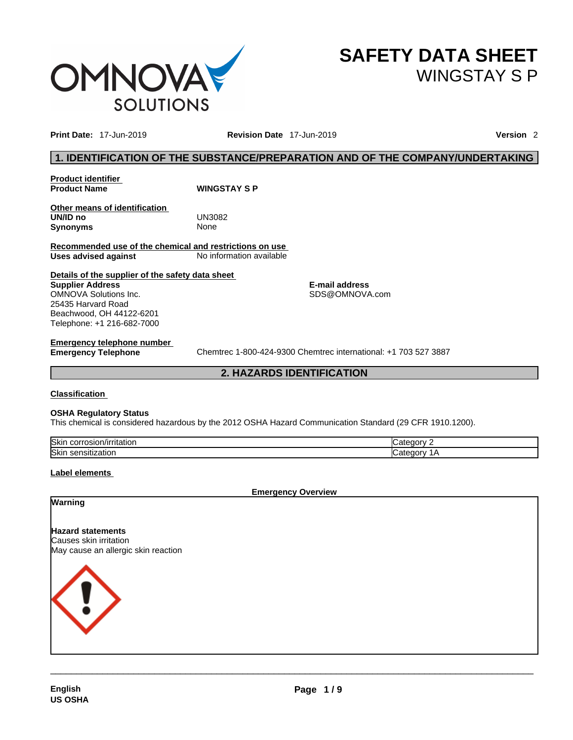

**SAFETY DATA SHEET** WINGSTAY S P

**Print Date:** 17-Jun-2019 **Revision Date** 17-Jun-2019 **Version** 2

## **1. IDENTIFICATION OF THE SUBSTANCE/PREPARATION AND OF THE COMPANY/UNDERTAKING**

**Product identifier Product Name WINGSTAY S P** 

**Other means of identification UN/ID no** UN3082 **Synonyms** None

**Recommended use of the chemical and restrictions on use Uses advised against** No information available

**Details of the supplier of the safety data sheet Supplier Address** OMNOVA Solutions Inc. 25435 Harvard Road Beachwood, OH 44122-6201 Telephone: +1 216-682-7000

**E-mail address** SDS@OMNOVA.com

# **Emergency telephone number**

**Emergency Telephone** Chemtrec 1-800-424-9300 Chemtrec international: +1 703 527 3887

**2. HAZARDS IDENTIFICATION** 

#### **Classification**

#### **OSHA Regulatory Status**

This chemical is considered hazardous by the 2012 OSHA Hazard Communication Standard (29 CFR 1910.1200).

| <b>Skin</b><br>JUIT "<br>/IIIItation<br>ישוכשו | $-1 - 1$ |
|------------------------------------------------|----------|
| <b>Skin</b><br>zation<br><b>SELISIUZ</b>       |          |

#### **Label elements**

**Emergency Overview** 

#### **Warning**

**Hazard statements**

Causes skin irritation May cause an allergic skin reaction

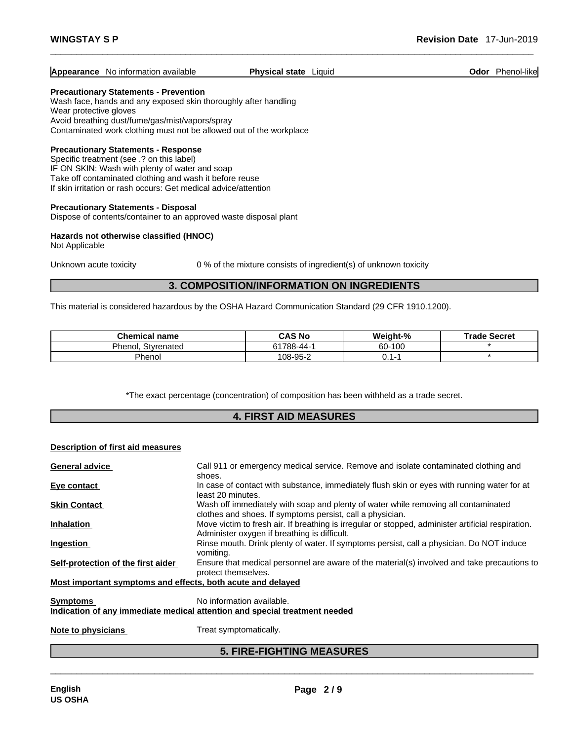## **Appearance** No information available **Physical state** Liquid **Constanting Constanting Constanting Constanting Constanting Constanting Constanting Constanting Constanting Constanting Constanting Constanting Constanting Con**

#### **Precautionary Statements - Prevention**

Wash face, hands and any exposed skin thoroughly after handling Wear protective gloves Avoid breathing dust/fume/gas/mist/vapors/spray Contaminated work clothing must not be allowed out of the workplace

#### **Precautionary Statements - Response**

Specific treatment (see .? on this label) IF ON SKIN: Wash with plenty of water and soap Take off contaminated clothing and wash it before reuse If skin irritation or rash occurs: Get medical advice/attention

#### **Precautionary Statements - Disposal**

Dispose of contents/container to an approved waste disposal plant

#### **Hazards not otherwise classified (HNOC)**

Not Applicable

Unknown acute toxicity 0 % of the mixture consists of ingredient(s) of unknown toxicity

## **3. COMPOSITION/INFORMATION ON INGREDIENTS**

This material is considered hazardous by the OSHA Hazard Communication Standard (29 CFR 1910.1200).

| <b>Chemical name</b>  | <b>CAS No</b> | Weiaht-%             | Secret<br>Trade . |
|-----------------------|---------------|----------------------|-------------------|
| Phenoi,<br>Stvrenated |               | 60-100               |                   |
| <b>Phenol</b>         | 108-95-2      | $\mathbf{I}$<br>∪. ı |                   |

\*The exact percentage (concentration) of composition has been withheld as a trade secret.

### **4. FIRST AID MEASURES**

#### **Description of first aid measures**

| <b>General advice</b>                                       | Call 911 or emergency medical service. Remove and isolate contaminated clothing and                                                                |
|-------------------------------------------------------------|----------------------------------------------------------------------------------------------------------------------------------------------------|
|                                                             | shoes.                                                                                                                                             |
| Eye contact                                                 | In case of contact with substance, immediately flush skin or eyes with running water for at<br>least 20 minutes.                                   |
| <b>Skin Contact</b>                                         | Wash off immediately with soap and plenty of water while removing all contaminated<br>clothes and shoes. If symptoms persist, call a physician.    |
| Inhalation                                                  | Move victim to fresh air. If breathing is irregular or stopped, administer artificial respiration.<br>Administer oxygen if breathing is difficult. |
| <b>Ingestion</b>                                            | Rinse mouth. Drink plenty of water. If symptoms persist, call a physician. Do NOT induce<br>vomiting.                                              |
| Self-protection of the first aider                          | Ensure that medical personnel are aware of the material(s) involved and take precautions to<br>protect themselves.                                 |
| Most important symptoms and effects, both acute and delayed |                                                                                                                                                    |
| <b>Symptoms</b>                                             | No information available.                                                                                                                          |
|                                                             | Indication of any immediate medical attention and special treatment needed                                                                         |
|                                                             |                                                                                                                                                    |
|                                                             |                                                                                                                                                    |

**Note to physicians** Treat symptomatically.

## **5. FIRE-FIGHTING MEASURES**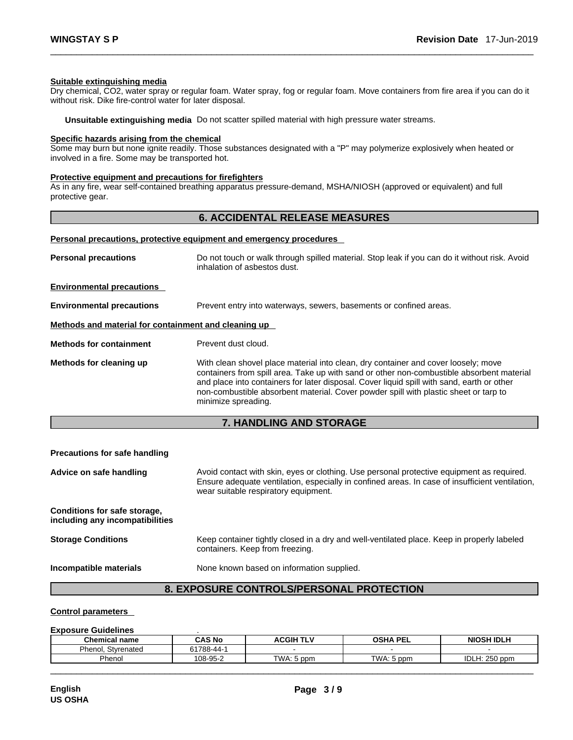#### **Suitable extinguishing media**

Dry chemical, CO2, water spray or regular foam. Water spray, fog or regular foam. Move containers from fire area if you can do it without risk. Dike fire-control water for later disposal.

**Unsuitable extinguishing media** Do not scatter spilled material with high pressure water streams.

#### **Specific hazards arising from the chemical**

Some may burn but none ignite readily. Those substances designated with a "P" may polymerize explosively when heated or involved in a fire. Some may be transported hot.

#### **Protective equipment and precautions for firefighters**

As in any fire, wear self-contained breathing apparatus pressure-demand, MSHA/NIOSH (approved or equivalent) and full protective gear.

## **6. ACCIDENTAL RELEASE MEASURES**

#### **Personal precautions, protective equipment and emergency procedures**

| Do not touch or walk through spilled material. Stop leak if you can do it without risk. Avoid<br>inhalation of asbestos dust.                                                                                                                                                                                                                                                                |
|----------------------------------------------------------------------------------------------------------------------------------------------------------------------------------------------------------------------------------------------------------------------------------------------------------------------------------------------------------------------------------------------|
|                                                                                                                                                                                                                                                                                                                                                                                              |
| Prevent entry into waterways, sewers, basements or confined areas.                                                                                                                                                                                                                                                                                                                           |
| Methods and material for containment and cleaning up                                                                                                                                                                                                                                                                                                                                         |
| Prevent dust cloud.                                                                                                                                                                                                                                                                                                                                                                          |
| With clean shovel place material into clean, dry container and cover loosely; move<br>containers from spill area. Take up with sand or other non-combustible absorbent material<br>and place into containers for later disposal. Cover liquid spill with sand, earth or other<br>non-combustible absorbent material. Cover powder spill with plastic sheet or tarp to<br>minimize spreading. |
|                                                                                                                                                                                                                                                                                                                                                                                              |

## **7. HANDLING AND STORAGE**

# **Precautions for safe handling** Advice on safe handling **Advice on safe handling** Avoid contact with skin, eyes or clothing. Use personal protective equipment as required.<br>Ensure adequate ventilation, especially in confined areas. In case of insufficient wear suitable respiratory equipment. **Conditions for safe storage, including any incompatibilities Storage Conditions** Keep container tightly closed in a dry and well-ventilated place. Keep in properly labeled containers. Keep from freezing. **Incompatible materials** None known based on information supplied.

## **8. EXPOSURE CONTROLS/PERSONAL PROTECTION**

#### **Control parameters**

#### **Exposure Guidelines** .

| Chemical name         | CAS No     | <b>ACGIH TLV</b> | OSHA<br>PEL | <b>NIOSH IDLH</b> |
|-----------------------|------------|------------------|-------------|-------------------|
| Phenol.<br>Styrenated | 61788-44-1 | $\sim$           |             |                   |
| Phenol                | 108-95-2   | TWA: 5 ppm       | TWA: 5 ppm  | IDLH: 250 ppm     |
|                       |            |                  |             |                   |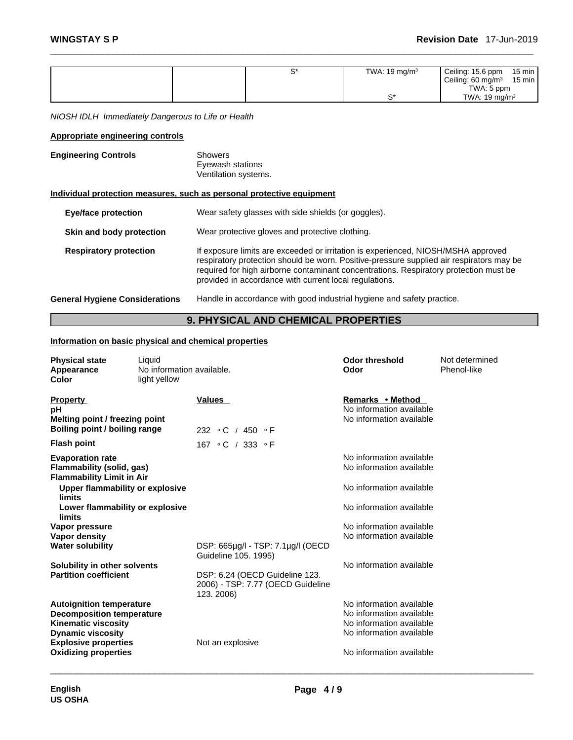|                                                                       |                                                            | $S^*$                                                  | TWA: 19 mg/m $3$                                                                                                                                                                                                                                                       | Ceiling: 15.6 ppm<br>$15 \text{ min}$<br>Ceiling: $60 \text{ mg/m}^3$<br>15 min<br>TWA: 5 ppm |
|-----------------------------------------------------------------------|------------------------------------------------------------|--------------------------------------------------------|------------------------------------------------------------------------------------------------------------------------------------------------------------------------------------------------------------------------------------------------------------------------|-----------------------------------------------------------------------------------------------|
|                                                                       |                                                            |                                                        | $S^*$                                                                                                                                                                                                                                                                  | TWA: 19 mg/m <sup>3</sup>                                                                     |
| NIOSH IDLH Immediately Dangerous to Life or Health                    |                                                            |                                                        |                                                                                                                                                                                                                                                                        |                                                                                               |
| <b>Appropriate engineering controls</b>                               |                                                            |                                                        |                                                                                                                                                                                                                                                                        |                                                                                               |
| <b>Engineering Controls</b>                                           | <b>Showers</b><br>Eyewash stations<br>Ventilation systems. |                                                        |                                                                                                                                                                                                                                                                        |                                                                                               |
| Individual protection measures, such as personal protective equipment |                                                            |                                                        |                                                                                                                                                                                                                                                                        |                                                                                               |
| <b>Eye/face protection</b>                                            |                                                            | Wear safety glasses with side shields (or goggles).    |                                                                                                                                                                                                                                                                        |                                                                                               |
| Skin and body protection                                              |                                                            | Wear protective gloves and protective clothing.        |                                                                                                                                                                                                                                                                        |                                                                                               |
| <b>Respiratory protection</b>                                         |                                                            | provided in accordance with current local regulations. | If exposure limits are exceeded or irritation is experienced, NIOSH/MSHA approved<br>respiratory protection should be worn. Positive-pressure supplied air respirators may be<br>required for high airborne contaminant concentrations. Respiratory protection must be |                                                                                               |

**General Hygiene Considerations** Handle in accordance with good industrial hygiene and safety practice.

## **9. PHYSICAL AND CHEMICAL PROPERTIES**

## **Information on basic physical and chemical properties**

| <b>Physical state</b><br>Appearance<br>Color                                             | Liquid<br>No information available.<br>light yellow |                                                                                   | <b>Odor threshold</b><br>Odor                                            | Not determined<br>Phenol-like |
|------------------------------------------------------------------------------------------|-----------------------------------------------------|-----------------------------------------------------------------------------------|--------------------------------------------------------------------------|-------------------------------|
| <b>Property</b><br>рH<br>Melting point / freezing point                                  |                                                     | Values                                                                            | Remarks • Method<br>No information available<br>No information available |                               |
| Boiling point / boiling range                                                            |                                                     | 232 $\circ$ C / 450 $\circ$ F                                                     |                                                                          |                               |
| <b>Flash point</b>                                                                       |                                                     | 167 °C / 333 °F                                                                   |                                                                          |                               |
| <b>Evaporation rate</b><br>Flammability (solid, gas)<br><b>Flammability Limit in Air</b> |                                                     |                                                                                   | No information available<br>No information available                     |                               |
| Upper flammability or explosive<br>limits                                                |                                                     |                                                                                   | No information available                                                 |                               |
| Lower flammability or explosive<br>limits                                                |                                                     |                                                                                   | No information available                                                 |                               |
| Vapor pressure                                                                           |                                                     |                                                                                   | No information available                                                 |                               |
| <b>Vapor density</b>                                                                     |                                                     |                                                                                   | No information available                                                 |                               |
| <b>Water solubility</b>                                                                  |                                                     | DSP: 665µg/l - TSP: 7.1µg/l (OECD<br>Guideline 105. 1995)                         |                                                                          |                               |
| Solubility in other solvents                                                             |                                                     |                                                                                   | No information available                                                 |                               |
| <b>Partition coefficient</b>                                                             |                                                     | DSP: 6.24 (OECD Guideline 123.<br>2006) - TSP: 7.77 (OECD Guideline<br>123. 2006) |                                                                          |                               |
| <b>Autoignition temperature</b>                                                          |                                                     |                                                                                   | No information available                                                 |                               |
| <b>Decomposition temperature</b>                                                         |                                                     |                                                                                   | No information available                                                 |                               |
| <b>Kinematic viscosity</b>                                                               |                                                     |                                                                                   | No information available                                                 |                               |
| <b>Dynamic viscosity</b>                                                                 |                                                     |                                                                                   | No information available                                                 |                               |
| <b>Explosive properties</b>                                                              |                                                     | Not an explosive                                                                  |                                                                          |                               |
| <b>Oxidizing properties</b>                                                              |                                                     |                                                                                   | No information available                                                 |                               |
|                                                                                          |                                                     |                                                                                   |                                                                          |                               |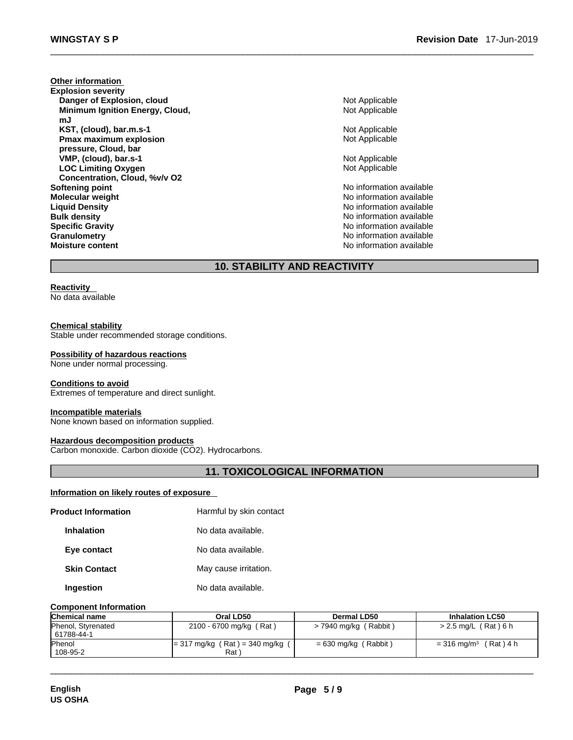**Other information Explosion severity Danger of Explosion, cloud** Not Applicable **Minimum Ignition Energy, Cloud, mJ KST, (cloud), bar.m.s-1** Not Applicable **Pmax maximum explosion pressure, Cloud, bar VMP, (cloud), bar.s-1 Not Applicable Not Applicable LOC Limiting Oxygen Concentration, Cloud, %v/v O2 Softening point Contract Contract Contract Contract Contract Contract Contract Contract Contract Contract Contract Contract Contract Contract Contract Contract Contract Contract Contract Contract Contract Contract Contr Molecular weight**<br> **Alguid Density**<br> **Liquid Density**<br> **No information available Bulk density No information available No** information available **Specific Gravity Specific Gravity Notation available Notation available Notation available Notation Notation Notation Notation Notation Notation Notation Notation Notation Notation Notation Granulometry Granulometry Contract Contract Contract Contract Contract Contract Contract Contract Contract Contract Contract Contract Contract Contract Contract Contract Contract Contract Contract Contract Contract Co** 

Not Applicable Not Applicable Not Applicable **No information available** 

**No information available** 

## **10. STABILITY AND REACTIVITY**

## **Reactivity**

No data available

#### **Chemical stability**

Stable under recommended storage conditions.

#### **Possibility of hazardous reactions**

None under normal processing.

#### **Conditions to avoid**

Extremes of temperature and direct sunlight.

#### **Incompatible materials**

None known based on information supplied.

#### **Hazardous decomposition products**

Carbon monoxide. Carbon dioxide (CO2). Hydrocarbons.

## **11. TOXICOLOGICAL INFORMATION**

#### **Information on likely routes of exposure**

| <b>Product Information</b> | Harmful by skin contact |
|----------------------------|-------------------------|
| <b>Inhalation</b>          | No data available.      |
| Eye contact                | No data available.      |
| <b>Skin Contact</b>        | May cause irritation.   |
| Ingestion                  | No data available.      |

#### **Component Information**

| <b>Chemical name</b> | Oral LD50                       | Dermal LD50             | <b>Inhalation LC50</b>       |
|----------------------|---------------------------------|-------------------------|------------------------------|
| Phenol, Styrenated   | 2100 - 6700 mg/kg (Rat)         | $>$ 7940 mg/kg (Rabbit) | $> 2.5$ mg/L (Rat) 6 h       |
| 61788-44-1           |                                 |                         |                              |
| <b>Phenol</b>        | $= 317$ mg/kg (Rat) = 340 mg/kg | $= 630$ mg/kg (Rabbit)  | (Rat) 4 h<br>= 316 mg/m $^3$ |
| 108-95-2             | Rat <sup>'</sup>                |                         |                              |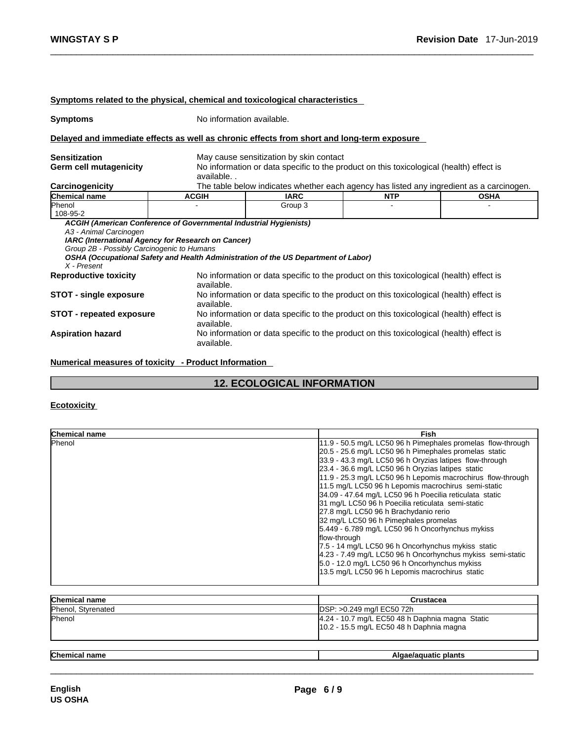|                                                                                     |                                                                                                                         | <u>Symptoms related to the physical, chemical and toxicological characteristics</u>        |            |             |  |
|-------------------------------------------------------------------------------------|-------------------------------------------------------------------------------------------------------------------------|--------------------------------------------------------------------------------------------|------------|-------------|--|
| <b>Symptoms</b>                                                                     |                                                                                                                         | No information available.                                                                  |            |             |  |
|                                                                                     |                                                                                                                         | Delayed and immediate effects as well as chronic effects from short and long-term exposure |            |             |  |
| <b>Sensitization</b>                                                                |                                                                                                                         | May cause sensitization by skin contact                                                    |            |             |  |
| Germ cell mutagenicity                                                              | available                                                                                                               | No information or data specific to the product on this toxicological (health) effect is    |            |             |  |
| <b>Carcinogenicity</b>                                                              |                                                                                                                         | The table below indicates whether each agency has listed any ingredient as a carcinogen.   |            |             |  |
| <b>Chemical name</b>                                                                | <b>ACGIH</b>                                                                                                            | <b>IARC</b>                                                                                | <b>NTP</b> | <b>OSHA</b> |  |
| Phenol<br>108-95-2                                                                  |                                                                                                                         | Group 3                                                                                    |            |             |  |
| A3 - Animal Carcinogen<br>Group 2B - Possibly Carcinogenic to Humans<br>X - Present | ACGIH (American Conference of Governmental Industrial Hygienists)<br>IARC (International Agency for Research on Cancer) | OSHA (Occupational Safety and Health Administration of the US Department of Labor)         |            |             |  |
| <b>Reproductive toxicity</b>                                                        | available.                                                                                                              | No information or data specific to the product on this toxicological (health) effect is    |            |             |  |
| <b>STOT - single exposure</b>                                                       | available.                                                                                                              | No information or data specific to the product on this toxicological (health) effect is    |            |             |  |
| <b>STOT - repeated exposure</b>                                                     | available.                                                                                                              | No information or data specific to the product on this toxicological (health) effect is    |            |             |  |
| <b>Aspiration hazard</b>                                                            | available.                                                                                                              | No information or data specific to the product on this toxicological (health) effect is    |            |             |  |
|                                                                                     |                                                                                                                         |                                                                                            |            |             |  |

**Numerical measures of toxicity - Product Information**

## **12. ECOLOGICAL INFORMATION**

## **Ecotoxicity**

| Chemical name        | Fish                                                                                                                                                                                                                                                                                                                                                                                                                                                                                                                                                                                                                                                                                                                                                                                                                                                    |
|----------------------|---------------------------------------------------------------------------------------------------------------------------------------------------------------------------------------------------------------------------------------------------------------------------------------------------------------------------------------------------------------------------------------------------------------------------------------------------------------------------------------------------------------------------------------------------------------------------------------------------------------------------------------------------------------------------------------------------------------------------------------------------------------------------------------------------------------------------------------------------------|
| <b>Phenol</b>        | 11.9 - 50.5 mg/L LC50 96 h Pimephales promelas flow-through<br>20.5 - 25.6 mg/L LC50 96 h Pimephales promelas static<br>33.9 - 43.3 mg/L LC50 96 h Oryzias latipes flow-through<br>23.4 - 36.6 mg/L LC50 96 h Oryzias latipes static<br>11.9 - 25.3 mg/L LC50 96 h Lepomis macrochirus flow-through<br>11.5 mg/L LC50 96 h Lepomis macrochirus semi-static<br>34.09 - 47.64 mg/L LC50 96 h Poecilia reticulata static<br>31 mg/L LC50 96 h Poecilia reticulata semi-static<br>27.8 mg/L LC50 96 h Brachydanio rerio<br>32 mg/L LC50 96 h Pimephales promelas<br>5.449 - 6.789 mg/L LC50 96 h Oncorhynchus mykiss<br>flow-through<br>7.5 - 14 mg/L LC50 96 h Oncorhynchus mykiss static<br>4.23 - 7.49 mg/L LC50 96 h Oncorhynchus mykiss semi-static<br>5.0 - 12.0 mg/L LC50 96 h Oncorhynchus mykiss<br>13.5 mg/L LC50 96 h Lepomis macrochirus static |
| <b>Chemical name</b> | Crustacea                                                                                                                                                                                                                                                                                                                                                                                                                                                                                                                                                                                                                                                                                                                                                                                                                                               |
| Phenol, Styrenated   | DSP: >0.249 mg/l EC50 72h                                                                                                                                                                                                                                                                                                                                                                                                                                                                                                                                                                                                                                                                                                                                                                                                                               |
| Phenol               | 4.24 - 10.7 mg/L EC50 48 h Daphnia magna Static<br>10.2 - 15.5 mg/L EC50 48 h Daphnia magna                                                                                                                                                                                                                                                                                                                                                                                                                                                                                                                                                                                                                                                                                                                                                             |

| <b>Chemical</b><br>name | ` plants |
|-------------------------|----------|
|                         |          |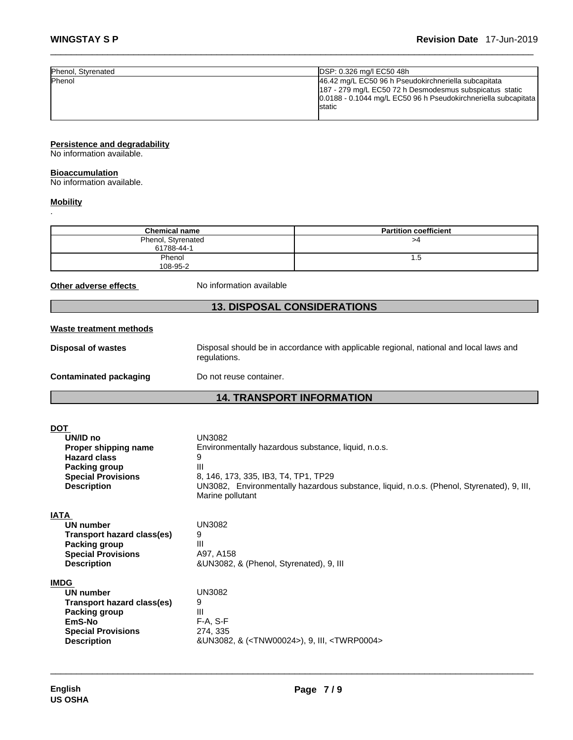| Phenol, Styrenated | DSP: 0.326 mg/l EC50 48h                                       |
|--------------------|----------------------------------------------------------------|
| <b>IPhenol</b>     | 46.42 mg/L EC50 96 h Pseudokirchneriella subcapitata           |
|                    | 187 - 279 mg/L EC50 72 h Desmodesmus subspicatus static        |
|                    | 0.0188 - 0.1044 mg/L EC50 96 h Pseudokirchneriella subcapitata |
|                    | lstatic                                                        |
|                    |                                                                |

## **Persistence and degradability**

No information available.

#### **Bioaccumulation**

No information available.

#### **Mobility**

.

| <b>Chemical name</b>             | <b>Partition coefficient</b> |
|----------------------------------|------------------------------|
| Phenol, Styrenated<br>61788-44-1 | >4                           |
| Phenol<br>108-95-2               | 1.5                          |

**Other adverse effects** No information available

## **13. DISPOSAL CONSIDERATIONS**

#### **Waste treatment methods**

**Disposal of wastes** Disposal should be in accordance with applicable regional, national and local laws and regulations.

**Contaminated packaging** Do not reuse container.

## **14. TRANSPORT INFORMATION**

| DOT                               |                                                                                                               |
|-----------------------------------|---------------------------------------------------------------------------------------------------------------|
| UN/ID no                          | UN3082                                                                                                        |
| Proper shipping name              | Environmentally hazardous substance, liquid, n.o.s.                                                           |
| <b>Hazard class</b>               | 9                                                                                                             |
| <b>Packing group</b>              | Ш                                                                                                             |
| <b>Special Provisions</b>         | 8, 146, 173, 335, IB3, T4, TP1, TP29                                                                          |
| <b>Description</b>                | UN3082, Environmentally hazardous substance, liquid, n.o.s. (Phenol, Styrenated), 9, III,<br>Marine pollutant |
| IATA                              |                                                                                                               |
| UN number                         | UN3082                                                                                                        |
| <b>Transport hazard class(es)</b> | 9                                                                                                             |
| Packing group                     | Ш                                                                                                             |
| <b>Special Provisions</b>         | A97, A158                                                                                                     |
| <b>Description</b>                | &UN3082, & (Phenol, Styrenated), 9, III                                                                       |
| <b>IMDG</b>                       |                                                                                                               |
| <b>UN number</b>                  | UN3082                                                                                                        |
| Transport hazard class(es)        | 9                                                                                                             |
| Packing group                     | Ш                                                                                                             |
| EmS-No                            | $F-A, S-F$                                                                                                    |
| <b>Special Provisions</b>         | 274, 335                                                                                                      |
| <b>Description</b>                | &UN3082, & ( <tnw00024>), 9, III, <twrp0004></twrp0004></tnw00024>                                            |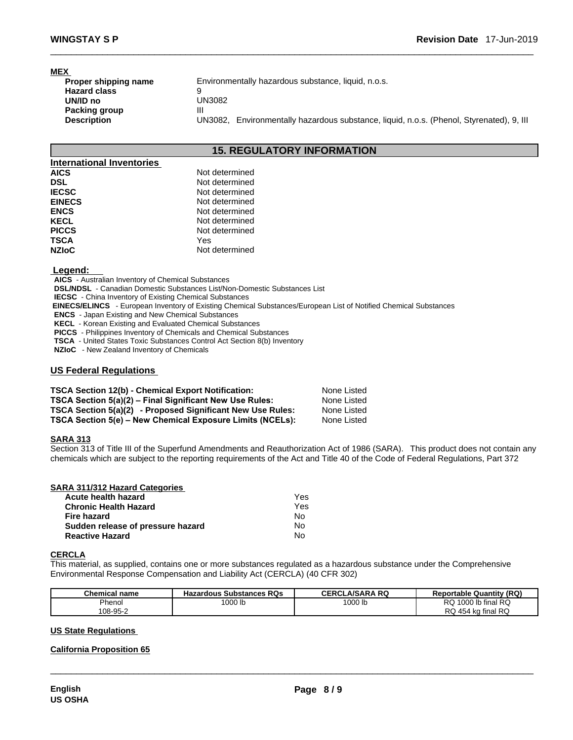## **MEX**

| Proper shipping name | Environmentally hazardous substance, liquid, n.o.s.                                         |
|----------------------|---------------------------------------------------------------------------------------------|
| <b>Hazard class</b>  |                                                                                             |
| UN/ID no             | UN3082                                                                                      |
| Packing group        |                                                                                             |
| <b>Description</b>   | Environmentally hazardous substance, liquid, n.o.s. (Phenol, Styrenated), 9, Ill<br>UN3082. |

## **15. REGULATORY INFORMATION**

| Not determined |
|----------------|
| Not determined |
| Not determined |
| Not determined |
| Not determined |
| Not determined |
| Not determined |
| Yes            |
| Not determined |
|                |

#### **Legend:**

**AICS** - Australian Inventory of Chemical Substances

**DSL/NDSL** - Canadian Domestic Substances List/Non-Domestic Substances List

**IECSC** - China Inventory of Existing Chemical Substances

 **EINECS/ELINCS** - European Inventory of Existing Chemical Substances/European List of Notified Chemical Substances

**ENCS** - Japan Existing and New Chemical Substances

**KECL** - Korean Existing and Evaluated Chemical Substances

**PICCS** - Philippines Inventory of Chemicals and Chemical Substances

**TSCA** - United States Toxic Substances Control Act Section 8(b) Inventory

**NZIoC** - New Zealand Inventory of Chemicals

#### **US Federal Regulations**

| <b>TSCA Section 12(b) - Chemical Export Notification:</b>  | None Listed |
|------------------------------------------------------------|-------------|
| TSCA Section 5(a)(2) – Final Significant New Use Rules:    | None Listed |
| TSCA Section 5(a)(2) - Proposed Significant New Use Rules: | None Listed |
| TSCA Section 5(e) - New Chemical Exposure Limits (NCELs):  | None Listed |

#### **SARA 313**

Section 313 of Title III of the Superfund Amendments and Reauthorization Act of 1986 (SARA). This product does not contain any chemicals which are subject to the reporting requirements of the Act and Title 40 of the Code of Federal Regulations, Part 372

| SARA 311/312 Hazard Categories    |     |  |
|-----------------------------------|-----|--|
| Acute health hazard               | Yes |  |
| <b>Chronic Health Hazard</b>      | Yes |  |
| <b>Fire hazard</b>                | No  |  |
| Sudden release of pressure hazard | N٥  |  |
| <b>Reactive Hazard</b>            | No  |  |

#### **CERCLA**

This material, as supplied, contains one or more substances regulated as a hazardous substance under the Comprehensive Environmental Response Compensation and Liability Act (CERCLA) (40 CFR 302)

| <b>Chemical name</b> | <b>Hazardous Substances RQs</b> | <b>CERCLA/SARA RQ</b> | <b>Reportable Quantity (RQ)</b> |
|----------------------|---------------------------------|-----------------------|---------------------------------|
| Phenol               | 1000 lb                         | 1000 lb               | 1000 lb final RQ<br>RQ          |
| 108-95-2             |                                 |                       | RQ 454 kg final RQ              |

 $\_$  ,  $\_$  ,  $\_$  ,  $\_$  ,  $\_$  ,  $\_$  ,  $\_$  ,  $\_$  ,  $\_$  ,  $\_$  ,  $\_$  ,  $\_$  ,  $\_$  ,  $\_$  ,  $\_$  ,  $\_$  ,  $\_$  ,  $\_$  ,  $\_$  ,  $\_$  ,  $\_$  ,  $\_$  ,  $\_$  ,  $\_$  ,  $\_$  ,  $\_$  ,  $\_$  ,  $\_$  ,  $\_$  ,  $\_$  ,  $\_$  ,  $\_$  ,  $\_$  ,  $\_$  ,  $\_$  ,  $\_$  ,  $\_$  ,

#### **US State Regulations**

#### **California Proposition 65**